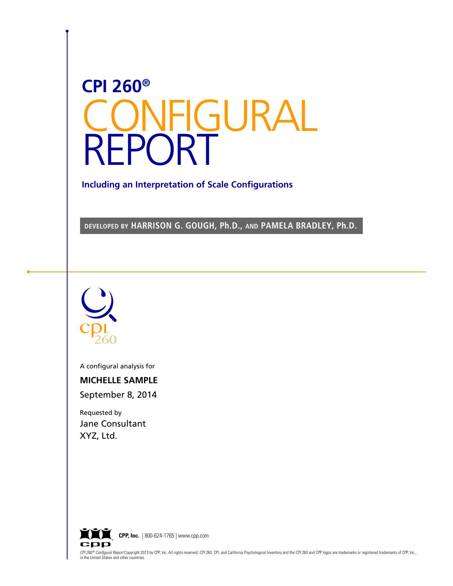# **CPI 260®** CONFIGURAL REPORT

**Including an Interpretation of Scale Configurations**

**DEVELOPED BY HARRISON G. GOUGH, Ph.D., AND PAMELA BRADLEY, Ph.D.**



A configural analysis for

**MICHELLE SAMPLE**

September 8, 2014

Requested by Jane Consultant XYZ, Ltd.



CPI 260<sup>®</sup> Configural Report Copyright 2013 by CPP, Inc. All rights reserved. CPI 260, CPI, and California Psychological Inventory and the CPI 260 and CPP logos are trademarks or registered trademarks of CPP, Inc., in the United States and other countries.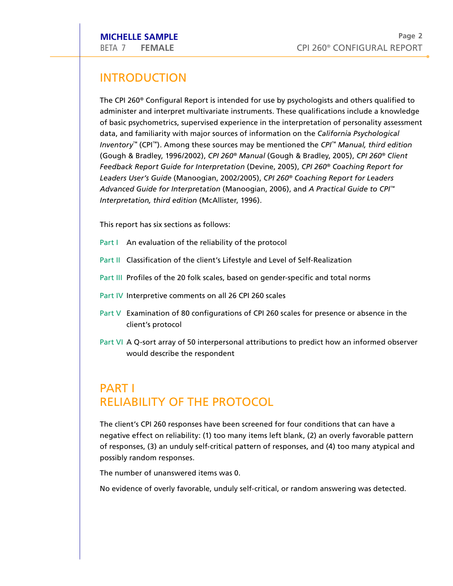# **INTRODUCT** PLE<br>LE<br>ION

The CPI 260<sup>®</sup> Configural Report is intended for use by psychologists and others qualified to administer and interpret multivariate instruments. These qualifications include a knowledge Page 2<br>CPI 260® CONFIGURAL REPORT<br>by psychologists and others qualified to<br>These qualifications include a knowledge of basic psychometrics, supervised experience in the interpretation of personality assessment data, and familiarity with major sources of information on the *California Psychological Inventory™* ( ™). Among these sources may be mentioned the *CPI ™ Manual, third edition* U<br><sup>»</sup> Co<br>ind<br>cho<br>CPI (Gough & Bradley, 1996/2002), *CPI 260 ® Manual* (Gough & Bradley, 2005), *CPI 260 ® Client*  The CPI 260® Configural Report is intended for use by psychologists and others qualified<br>administer and interpret multivariate instruments. These qualifications include a knowle<br>of basic psychometrics, supervised experienc *Leaders User's Guide* (Manoogian, 2002/2005), *CPI 260 ® Coaching Report for Leaders Advanced Guide for Interpretation* (Manoogian, 2006), and *A Practical Guide to CPI ™ I*<br>*Interpretation, 1996/2002), CPI 260® Manua.*<br>*Feedback Report Guide for Interpretation (Devi<br>Leaders User's Guide (Manoogian, 2002/2005),<br>Advanced Guide for Interpretation (Manoogian<br>Interpretation, third edition (McA* Advanced Guide for Interpretation (Manoogian, 2006), and A<br>Interpretation, third edition (McAllister, 1996).<br>This report has six sections as follows:<br>Part I – An evaluation of the reliability of the protocol<br>Part II – Clas *Practical G*<br>Realization **POSE THE SAMPLE**<br> **POSE THE TRANCE CONFIGURAL REP.**<br> **POSE THE CPI 260° Configural Report is intended for use by psychologists and others qualified<br>
dedininisties and temperat multivariate instruments. These qualification** 

- Part I An evaluation of the reliability of the protocol
- This report has six sections as follows:<br>
Part I An evaluation of the reliability of the protocol<br>
Part II Classification of the client's Lifestyle and Level<br>
Part III Profiles of the 20 folk scales, based on gender-<br>
Part
- Part III Profiles of the 20 folk scales, based on gender-specific and total norms
- 
- Part V Examination of 80 configurations of CPI 260 scales for presence or absence in the e protocol<br>and Level of Self-Realization<br>n gender-specific and total norms<br>260 scales<br>CPI 260 scales for presence or absence in the client's protocol
- Part VI A Q-sort array of 50 interpersonal attributions to predict how an informed observer Part V Examination of 80 configuration<br>client's protocol<br>Part VI A Q-sort array of 50 interperson<br>would describe the respondent<br>PART I

# client's protocol<br>Part VI A Q-sort array of 50 interpersonal attribu<br>would describe the respondent<br>PART I<br>RELIABILITY OF THE PROTOCO wou<br>PART |<br>RELIAB|<br>The client's Id describe the respondent<br>ILITY OF THE PROTOCOL<br>CPI 260 responses have been screened for four conditions that can have a

negative effect on reliability: (1) too many items left blank, (2) an overly favorable pattern of responses, (3) an unduly self-critical pattern of responses, and (4) too many atypical and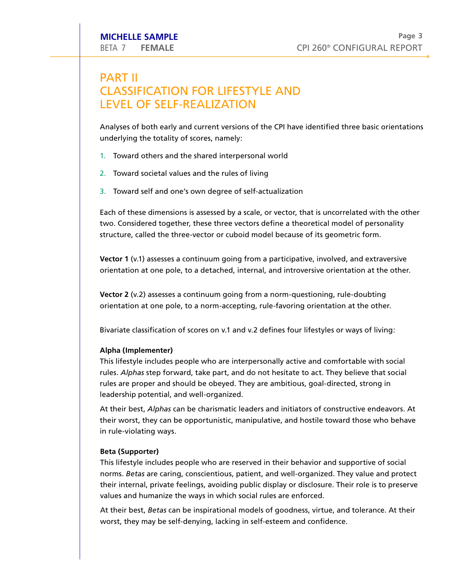## **PART II** E SAMPLE<br>
FEMALE

CH<br>
FICATION FOR LIFESTYLE AND **AMP**<br>MAL<br>AT MICHELLE SAMPLE<br>BETA 7 FEMALE<br>PART II<br>CLASSIFICATION FOR LIFESTY<br>LEVEL OF SELF-REALIZATION \_\_<br>\_IFI<br>AT **ASSIFICATION FOR LIFESTYLE ANTASSIFICATION FOR LIFESTYLE ANTASSIFICATION**<br>Iyses of both early and current versions of the CPI erlying the totality of scores, namely:<br>Toward others and the shared interpersonal world

**VEL OF SELF-REALIZATION**<br>Iyses of both early and current versions of th<br>erlying the totality of scores, namely:<br>Toward others and the shared interpersonal<br>Toward societal values and the rules of living Analyses of both early and current versions of the CPI have identified three basic orientations CPI have identified three basic orientations underlying the totality of scores, namely: Analyses of both early and current versions of the CPI have<br>underlying the totality of scores, namely:<br>1. Toward others and the shared interpersonal world<br>2. Toward societal values and the rules of living<br>3. Toward self an

- 1. Toward others and the shared interpersonal world
- 2. Toward societal values and the rules of living
- 

Each of these dimensions is assessed by a scale, or vector, that is uncorrelated with the other two. Considered together, these three vectors define a theoretical model of personality oward others and the shared interpersonal world<br>oward societal values and the rules of living<br>oward self and one's own degree of self-actualization<br>of these dimensions is assessed by a scale, or vector, that is uncorrelate structure, called the three-vector or cuboid model because of its geometric form. **PART II**<br> **ALPHAT (IMPLEME)** CPI 260° CONFIGURAL REPO<br> **PART II**<br> **CLASSIFICATION FOR LIFESTYLE AND**<br> **Analyses of both early and current versions of the CPI have identified three basic orienta**<br>
Interpersion of the stali Passim Passide CONFIGURAL REPO<br>
They CONFIGURAL REPO<br>
They almodel of personality<br>
geometric form.<br>
Followed, and extraversive<br>
orientation at the other<br>
ng, rule-doubting<br>
tation at the other.<br>
Les or ways of living:<br>
Com CPI 260<sup>®</sup> CONFIGURAL F<br> **STYLE AND**<br>
ON<br>
ons of the CPI have identified three basic orie<br>
considers and world<br>
of living<br>
f self-actualization<br>
a scale, or vector, that is uncorrelated with the<br>
ectors define a theoretica

**Vector 1** (v.1) assesses a continuum going from a participative, involved, and extraversive orientation at one pole, to a detached, internal, and introversive orientation at the other.

**Vector 2** (v.2) assesses a continuum going from a norm-questioning, rule-doubting orientation at one pole, to a norm-accepting, rule-favoring orientation at the other.

Bivariate classification of scores on v.1 and v.2 defines four lifestyles or ways of living:

rules. *Alphas* step forward, take part, and do not hesitate to act. rules are proper and should be obeyed. They are ambitious, goal-directed, strong in leadership potential, and well-organized. **BETA 7 FEMALE SAMPLE**<br> **BETA 7 FEMALE**<br> **BETAT II**<br> **CPIZENT CASTEFICATION FOR LIFESTYLE AND**<br> **CLUSSEFICATION FOR LIFESTYLE AND**<br> **Analyses of both early and current versions of the CPI have identified three basic orient** Page<br>
CONFIGURAL REPORT<br>
ONFIGURAL REPORT<br>
Originality<br>
Solventiation at the other.<br>
They and extraversive<br>
entation at the other.<br>
They doubting<br>
on at the other.<br>
Fortable with social<br>
solventiat social<br>
ected, strong in Page:<br>
CONFIGURAL REPORT<br>
ONFIGURAL REPORT<br>
orrelated with the other<br>
nodel of personality<br>
metric form.<br>
red, and extraversive<br>
entation at the other.<br>
rule-doubting<br>
on at the other.<br>
or ways of living:<br>
structive endeav

At their best, *Alphas* can be charismatic leaders and initiators of constructive endeavors. At their worst, they can be opportunistic, manipulative, and hostile toward those who behave in rule-violating ways.

norms. *Betas* are caring, conscientious, patient, and well-organized. their internal, private feelings, avoiding public display or disclosure. Their role is to preserve values and humanize the ways in which social rules are enforced.

At their best, *Betas* can be inspirational models of goodness, virtue, and tolerance. At their worst, they may be self-denying, lacking in self-esteem and confidence.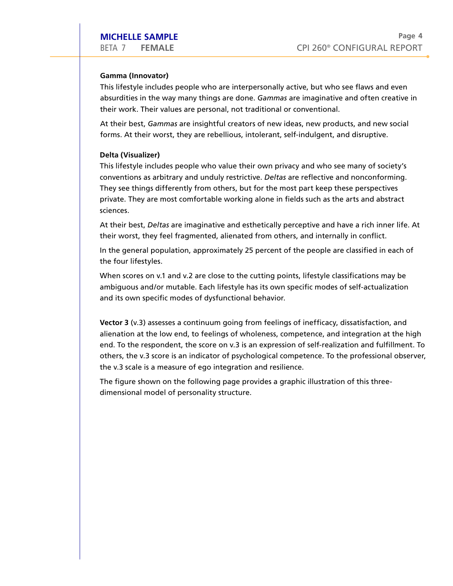**CAMPLE CONFIGURAL REPT CREAMPLE**<br>
BETA 7 FEMALE CPI 260<sup>®</sup> CONFIGURAL REPC<br> **Gamma (Innovator)**<br>
This lifestyle includes people who are interpersonally active, but who see flaws and even absurdities in the way many things are done. *Gammas* are imaginative and often creative in their work. Their values are personal, not traditional or conventional. Their Values are personally active, but who<br>
Their values people who are interpersonally active, but who<br>
Similar the way many things are done. Gammas are imaginative<br>
Their values are personal, not traditional or conventi **DRICHELLE SAMPLE**<br>
DETA 7 FEMALE<br>
DETA 7 FEMALE<br> **DRIGUITE CONSTANT CONSTANT CONSTANT CONSTANT CONSTANT CONSTANT This lifestyle includes people who are interpersonally active, but who see flaws and even<br>
absurdities in th CPI 260<sup>®</sup> CONFIGURAL REPC**<br> **CPI 260<sup>®</sup> CONFIGURAL REPC**<br> **Gamma (Innovator)**<br>
This lifestyle includes people who are interpersonally active, but who see flaws and even<br>
absurdities in the way many things are done. *Gamm* 

At their best, *Gammas* are insightful creators of new ideas, new products, and new social forms. At their worst, they are rebellious, intolerant, self-indulgent, and disruptive.

private. They are most comfortable working alone in fields such as the arts and abstract FEMALE<br>
(Innovator)<br>
Style includes people who are interpersonally active, but who see flaws and ever<br>
ies in the way many things are done. *Gammas* are imaginative and often creative<br>
ork. Their values are personal, not t sciences. PHELLE SAMPLE<br>
7 FEMALE CPI 260° CONFIGURAL REPOR<br>
17 FEMALE CPI 260° CONFIGURAL REPOR<br>
1961 Friedyle includes people who are interpersonally active, but who see flaws and even<br>
1961 Friedive includes people who are interp Page 4<br>
® CONFIGURAL REPORT<br>
who see flaws and even<br>
ative and often creative in<br>
mal.<br>
rroducts, and new social<br>
nt, and disruptive.<br>
no see many of society's<br>
we and nonconforming.<br>
pp these perspectives<br>
s the arts and **Gamma (Innovator)**<br>This lifestyle includes people who are interpersonally active, but who see flaws and absurdities in the way many things are done. *Gammas* are imaginative and often create their work. Their values are p

At their best, *Deltas* are imaginative and esthetically perceptive and have a rich inner life. At their worst, they feel fragmented, alienated from others, and internally in conflict.

In the general population, approximately 25 percent of the people are classified in each of the four lifestyles.

When scores on v.1 and v.2 are close to the cutting points, lifestyle classifications may be ambiguous and/or mutable. Each lifestyle has its own specific modes of self-actualization and its own specific modes of dysfunctional behavior.

**Vector 3** (v.3) assesses a continuum going from feelings of inefficacy, dissatisfaction, and alienation at the low end, to feelings of wholeness, competence, and integration at the high end. To the respondent, the score on v.3 is an expression of self-realization and fulfillment. To 4<br>T<br>h<br>To others, the v.3 score is an indicator of psychological competence. To the professional observer,

dimensional model of personality structure.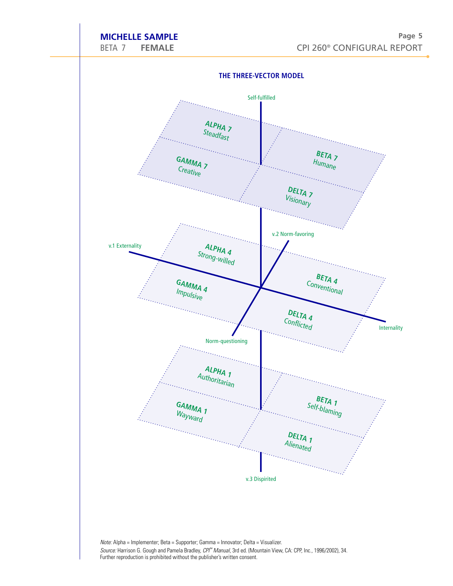## **MICHELLE SAMPLE**

**The Three-V ector M** 

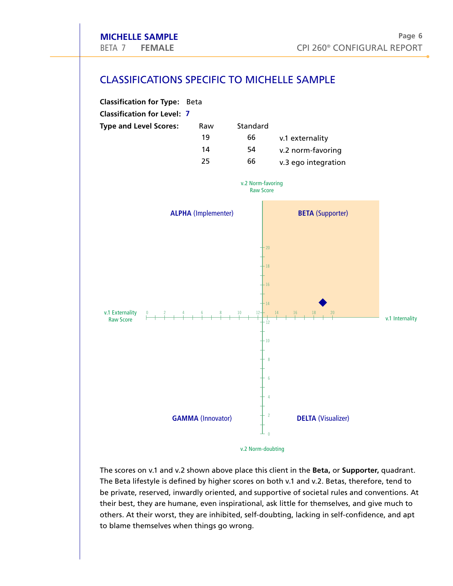## CLASSIFICATIONS SPECIFIC TO MICHELLE SAMPLE



be private, reserved, inwardly oriented, and supportive of societal rules and conventions. At their best, they are humane, even inspirational, ask little for themselves, and give much to others. At their worst, they are inhibited, self-doubting, lacking in self-confidence, and apt to blame themselves when things go wrong.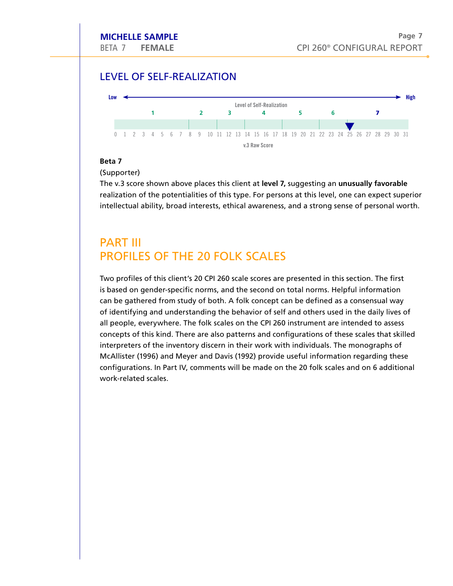# MICHELLE SAMPLE<br>
BETA 7 FEMALE<br>
LEVEL OF SELF-REALIZATION



#### **Beta 7**

(Supporter)

intellectual ability, broad interests, ethical awareness, and a strong sense of personal worth.

can be gathered from study of both. A folk concept can be defined as a consensual way of identifying and understanding the behavior of self and others used in the daily lives of Example 10 and 1 and 1 and 1 and 1 and 1 and 1 and 1 and 1 and 1 and 1 and 1 and 1 and 1 and 1 and 1 and 1 and 1 and 1 and 1 and 1 and 1 and 1 and 1 and 1 and 1 and 1 and 1 and 1 and 1 and 1 and 1 and 1 and 1 and 1 and 1 a **1** 2 3  $\frac{1}{4}$   $\frac{1}{12}$   $\frac{1}{13}$   $\frac{1}{14}$   $\frac{1}{15}$   $\frac{1}{16}$   $\frac{1}{17}$   $\frac{1}{18}$   $\frac{1}{19}$   $\frac{1}{22}$   $\frac{1}{24}$   $\frac{1}{25}$   $\frac{1}{26}$   $\frac{1}{27}$   $\frac{1}{28}$   $\frac{1}{28}$   $\frac{1}{29}$   $\frac{1}{21}$   $\frac{1}{22}$   $\frac{1$ **Example 1898** 1 2 3 4 5 6 7 8 9 10 11 12 13 14 15 16 17 18 19 20 21 22 23 24 25 26 27 28 29 30 31<br>
WB RawSore<br> **Stars Score shown above places this client at level 7, suggesting an unusually favorable**<br> **CSUpporter)**<br> **C** configurations. In Part IV, comments will be made on the 20 folk scales and on 6 additional work-related scales.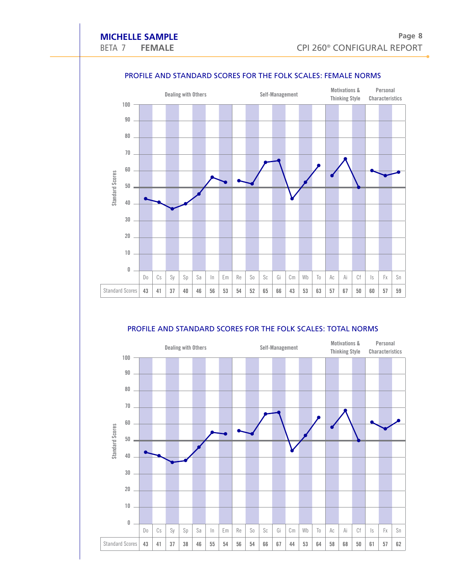

# ELLE SAMPLE<br>
PEMALE<br>
PROFILE AND STANDARD SCORES FOR THE FOLK SCALES: FEMALE NORM

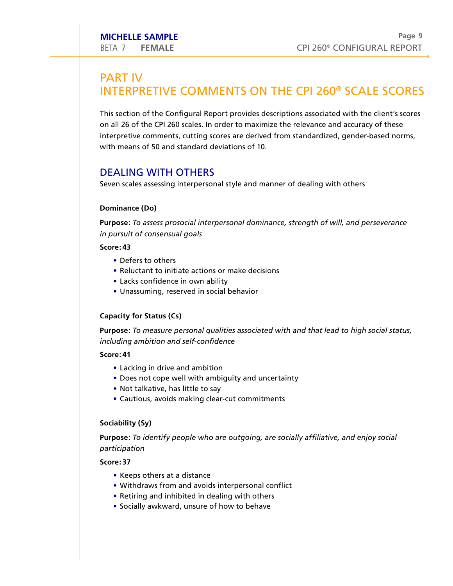## **BETA 7 FEMALE**<br>PART IV Fage<br>
INTERPRETIVE COMMENTS ON THE CPI 260<sup>®</sup> SCALE SCORE<br>
INTERPRETIVE COMMENTS ON THE CPI 260<sup>®</sup> SCALE SCORE This section of the Configural Report provides descriptions associated with the client's scores<br>
This section of the Configural Report provides descriptions associated with the client's scores ENT IV<br> **PART IV**<br>
INTERPRETIVE COMMENTS ON THE CPI 260<sup>®</sup> SCALE SCO<br>
This section of the Configural Report provides descriptions associated with the client's so<br>
on all 26 of the CPI 260 scales. In order to maximize the r

interpretive comments, cutting scores are derived from standardized, gender-based norms, with means of 50 and standard deviations of 10. This section of the Configural Represention<br>on all 26 of the CPI 260 scales. In<br>interpretive comments, cutting se<br>with means of 50 and standard d<br>DEALING WITH OTHERS CHELLE SAMPLE<br>
A 7 FEMALE<br>
RT IV<br>
TERPRETIVE<br>
section of the Col<br>
all 26 of the CPI 26<br>
rpretive comment<br>
n means of 50 and<br>
ALING WITH<br>
en scales assessing<br>
ninance (Do)<br>
pose: *To assess proursuit of consensu*<br>
re: 43<br>
• **EXECT SAMPLE**<br>
A 7 FEMALE<br>
RT IV<br> **TERPRETIVE COMMENTS ON T**<br>
section of the Configural Report provides descr<br>
all 26 of the CPI 260 scales. In order to maximize<br>
rpretive comments, cutting scores are derived from<br>
neans **CHELLE SAMPLE<br>
A 7 FEMALE**<br> **RT IV**<br> **TERPRETIVE COMMENTS O**<br>
section of the CPI 260 scales. In order to max<br>
rpretive comments, cutting scores are deri<br>
n means of 50 and standard deviations of<br> **ALING WITH OTHERS**<br>
en s **CHELLE SAMPLE**<br>
A 7 FEMALE<br>
A 7 FEMALE<br>
FERPRETIVE COMMENTS ON THE (<br>
section of the Configural Report provides description<br>
1126 of the CP1260 scales. In order to maximize the response that<br>
represence the critical serve **CHELLE SAMPLE**<br>
A 7 FEMALE<br>
RT IV<br>
TERPRETIVE COMMI<br>
section of the Configural Repo<br>
all 26 of the CPI 260 scales. In or<br>
rpretive comments, cutting sco<br>
n means of 50 and standard dev<br>
ALING WITH OTHERS<br>
and scales asses **EXELLE SAMPLE**<br>
A 7 FEMALE<br>
FRIMALE<br>
FRIMALE<br>
FRIMALE<br>
Section of the Configural Report provides descriptive<br>
III 26 of the CPI 260 scales. In order to maximize the<br>
repretive comments, cutting scores are derived from<br>
In **EXECT SAMPLE**<br>
A 7 FEMALE<br>
RT IV<br> **FERPRETIVE COMN**<br>
section of the CPI 260 scales. In<br>
rpretive comments, cutting s<br>
n means of 50 and standard c<br>
ALING WITH OTHERS<br>
an means of 50 and standard c<br>
ALING WITH OTHERS<br>
an s **EHELLE SAMPLE**<br>
A 7 FEMALE<br>
A 7 FEMALE<br>
RT IV<br> **FERPRETIVE COMMENTS ON T**<br>
section of the Configural Report provides describing and<br>
all 26 of the CPI 260 scales. In order to maximize<br>
pretive comments, cutting scores are

Seven scales assessing interpersonal style and manner of dealing with others

#### **Dominance (Do)**

**Purpose:** *To assess prosocial interpersonal dominance, strength of will, and perseverance in pursuit of consensual goals*

#### **Score: 43**

- 
- 
- Lacks confidence in own ability
- 

## **Capacity for Status (Cs)**

**Purpose:** *To measure personal qualities associated with and that lead to high social status, including ambition and self-confidence*

#### **Score: 41**

- Lacking in drive and ambition
- 
- 
- 

## **Sociability (Sy)**

**Purpose:** *To identify people who are outgoing, are socially affiliative, and enjoy social participation*

- 
- Withdraws from and avoids interpersonal conflict
- 
- Socially awkward, unsure of how to behave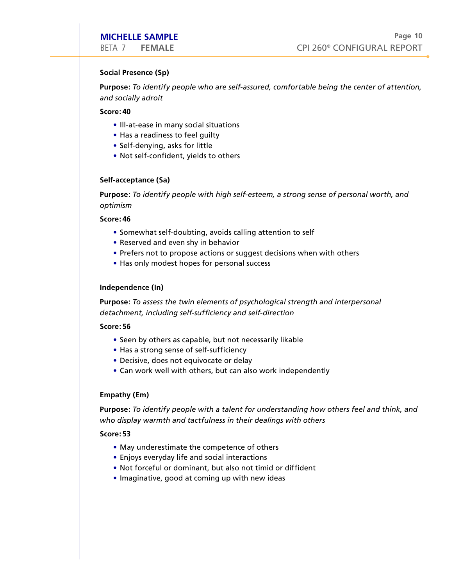#### **Social Presence (Sp)**

**Purpose:** *To identify people who are self-assured, comfortable being the center of attention, and socially adroit* **CHELLE SAMPLE**<br>
A 7 FEMALE<br>
ial Presence (Sp)<br>
pose: To identify people who a<br>
socially adroit<br>
re: 40<br>
• Ill-at-ease in many social situa<br>
• Has a readiness to feel guilty **EHELLE SAMPLE**<br>
A 7 FEMALE<br>
ial Presence (Sp)<br>
pose: To identify people who are self-<br>
socially adroit<br>
re: 40<br>
• Ill-at-ease in many social situations<br>
• Has a readiness to feel guilty<br>
• Self-denying, asks for little<br>
• **CHELLE SAMPLE**<br>
A 7 FEMALE<br>
al Presence (Sp)<br>
pose: To *identify people who are self-*<br>
socially adroit<br>
re: 40<br>
• Ill-at-ease in many social situations<br>
• Has a readiness to feel guilty<br>
• Self-denying, asks for little<br> **CHELLE SAMPLE**<br>
A 7 FEMALE<br>
ial Presence (Sp)<br> **oose:** To identify people who are self-assured,<br>
socially adroit<br> **re: 40**<br>
• III-at-ease in many social situations<br>
• Has a readiness to feel guilty<br>
• Self-denying, asks f **CHELLE SAMPLE**<br>
A 7 FEMALE<br>
al Presence (Sp)<br>
pose: To *identify people who are self-a*<br>
socially adroit<br>
re: 40<br>
• Ill-at-ease in many social situations<br>
• Has a readiness to feel guilty<br>
• Self-denying, asks for little<br> **CHELLE SAMPLE**<br>
A 7 FEMALE<br>
al Presence (Sp)<br> **oose:** To *identify people who are self-ass*<br>
socially adroit<br> **re: 40**<br>
• III-at-ease in many social situations<br>
• Has a readiness to feel guilty<br>
• Self-denying, asks for l EHELLE SAMPLE<br>
A 7 FEMALE<br>
al Presence (Sp)<br>
al Presence (Sp)<br>
as a Presence (Sp)<br>
socially adroit<br>
free:40<br>
socially adroit<br>
ee:440<br>
• Ill-at-ease in many social situations<br>
• Has a readiness to feel guilty<br>
• Self-denyin CHELLE SAMPLE<br>
A 7 FEMALE<br>
A P FEMALE<br>
CPI 2<br>
al Presence (Sp)<br>
socially adroit<br>
socially adroit<br>
socially adroit<br>
e + Has a readiness to feel guilty<br>
• Self-denying, asks for little<br>
• Not self-confident, yields to others

#### **Score: 40**

- Ill-at-ease in many social situations
- 
- Self-denying, asks for little
- 

#### **Self-acceptance (Sa)**

**Purpose:** *To identify people with high self-esteem, a strong sense of personal worth, and optimism*

#### **Score: 46**

- Somewhat self-doubting, avoids calling attention to self
- 
- Prefers not to propose actions or suggest decisions when with others
- 

#### **Independence (In)**

**Purpose:** *To assess the twin elements of psychological strength and interpersonal detachment, including self-sufficiency and self-direction*

**Score: 56**

- Seen by others as capable, but not necessarily likable
- 
- 
- 

#### **Empathy (Em)**

**Purpose:** *To identify people with a talent for understanding how others feel and think, and who display warmth and tactfulness in their dealings with others*

- May underestimate the competence of others
- Enjoys everyday life and social interactions
- 
- Imaginative, good at coming up with new ideas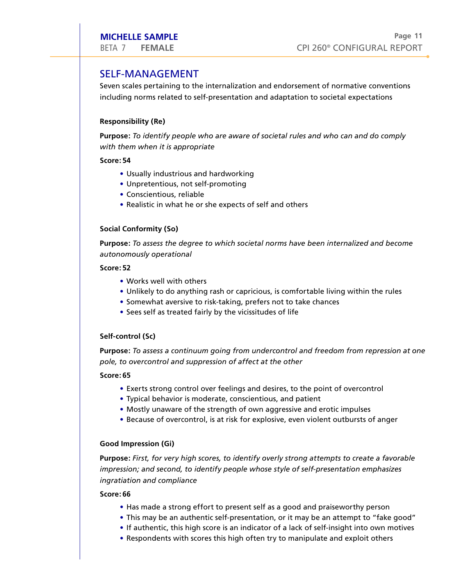# BETA 7 FEMALE<br>SELF-MANAGEMENT

Seven scales pertaining to the internalization and endorsement of normative conventions including norms related to self-presentation and adaptation to societal expectations **FEMALE**<br>
<sup>1</sup> FEMALE<br>
<sup>1</sup> -MANAGEMENT<br>
scales pertaining to the internalization<br>
ling norms related to self-presentation<br> **nnsibility (Re)**<br> **se:** To identify people who are aware contently the substributed:<br> **54**<br>
• Usual **FELLE SAMPLE<br>
FEMALE**<br> **FEMALE**<br> **FEMANAGEMENT**<br>
scales pertaining to the internalization<br>
ing norms related to self-presentation<br>
se: To identify people who are aware<br>
them when it is appropriate<br> **S4**<br>
• Usually industr **FEMALE**<br> **FEMALE**<br> **FEMALE**<br> **FEMANAGEMENT**<br>
scales pertaining to the<br>
ling norms related to self<br> **onsibility (Re)**<br>
se: To identify people w<br>
them when it is approprie<br> **54**<br>
• Usually industrious and<br>
• Unpretentious, **FEMALE**<br>
THEMALE<br>
FEMALE<br>
FEMANAGEMENT<br>
scales pertaining to the internalization and endorsem<br>
ling norms related to self-presentation and adaptation<br>
se: To *identify people who are aware of societal rules*<br>
them when it **FELLE SAMPLE**<br>
<sup>Pa</sup><br>
<sup>Pa</sup><br> **F-MANAGEMENT**<br> **Scales pertaining to the internalization and endorsement of normative convention<br>
ing norms related to self-presentation and endorsement of normative convention<br>
<b>Scales Partici FELLE SAMPLE**<br>
THEMALE<br>
F-MANAGEMENT<br>
scales pertaining to the internalization and endorsement<br>
ring norms related to self-presentation and adaptation to :<br>
stally (**Re**)<br> **se:** To *identify people who are aware of societ* 

#### **Responsibility (Re)**

**Purpose:** *To identify people who are aware of societal rules and who can and do comply with them when it is appropriate*

#### **Score: 54**

- 
- 
- 
- 

#### **Social Conformity (So)**

**Purpose:** *To assess the degree to which societal norms have been internalized and become autonomously operational*

#### **Score: 52**

- Works well with others
- 
- Somewhat aversive to risk-taking, prefers not to take chances
- Sees self as treated fairly by the vicissitudes of life

#### **Self-control (Sc)**

**Purpose:** *To assess a continuum going from undercontrol and freedom from repression at one pole, to overcontrol and suppression of affect at the other*

#### **Score: 65**

- Exerts strong control over feelings and desires, to the point of overcontrol
- 
- Mostly unaware of the strength of own aggressive and erotic impulses
- Because of overcontrol, is at risk for explosive, even violent outbursts of anger

#### **Good Impression (Gi)**

**Purpose:** *First, for very high scores, to identify overly strong attempts to create a favorable impression; and second, to identify people whose style of self-presentation emphasizes ingratiation and compliance* FELLE SAMPLE<br>
• FEMALE<br>
• CPI 260° CONFIGURAL<br>
• Scales pertaining to the internalization and endorsement of normative conver<br>
ring norms related to self-presentation and adaptation to societal expectation<br>
self by (Re)<br>
• **FELLE SAMPLE**<br>
<sup>F</sup>EMALE **FEMALE CPI 260°** CONFIGURAL REPOF<br> **E-MANAGEMENT**<br> **E-MANAGEMENT**<br> **E-MANAGEMENT**<br> **E-MANAGEMENT**<br> **E-MANAGEMENT**<br> **E-MANAGEMENT**<br> **E-MANAGEMENT**<br> **E-MANAGEMENT**<br> **E-MANAGEMENT**<br> **E-MANAGEMENT**<br> **FILIE SAMPLE**<br> **FILIE SAMPLE**<br>
<sup>7</sup> **FEMALE**<br>
<sup>7</sup> **FEMALE**<br> **FILIE SAMPLE THE SAMPLE THE SAMPLE THE SAMPLE SCONTIFICATION SCONTIFICATION SCONTIFICATION SCONTIFICATION SCONTIFICATION SCONTIFICATION AND CALCCCLUMBET SAMPLE** 

- 
- 
- If authentic, this high score is an indicator of a lack of self-insight into own motives
-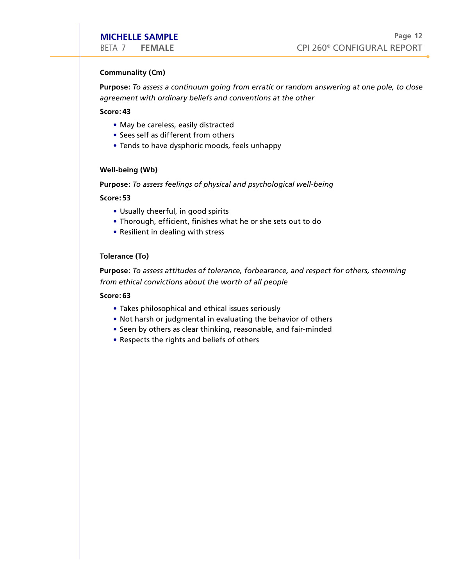#### **Communality (Cm)**

**Purpose:** *To assess a continuum going from erratic or random answering at one pole, to close agreement with ordinary beliefs and conventions at the other* **CHELLE SAMPLE**<br>
A 7 FEMALE<br> **Innunality (Cm)**<br> **Pose:** To assess a continuum going from erratic of<br>
eement with ordinary beliefs and conventions at<br> **example is a** example is a saily distracted<br> **•** Sees self as different **CHELLE SAMPLE**<br>
A 7 FEMALE<br> **Inmunality (Cm)**<br> **Pose:** To assess a continuum going<br>
re: 43<br>
• May be careless, easily distracte<br>
• Sees self as different from other<br>
• Tends to have dysphoric moods,<br> **I-being (Wb)**<br> **Pose CHELLE SAMPLE**<br>
4 7 FEMALE CPI 26<br> **Inmunality (Cm)**<br> **ODENTIFY COMPTE CONTENT CONTENT CONTENT CONTENT CONTENT CONTENT OF THE OREOTABLY**<br>
4 May be careless, easily distracted<br>
4 Sees self as different from others<br>
4 Sees **CHELLE SAMPLE**<br>
A 7 FEMALE<br> **Innunality (Cm)**<br> **Pose:** To assess a continuum goir<br>
reement with ordinary beliefs and<br>
ree: 43<br>
• May be careless, easily distract<br>
• Sees self as different from oth<br>
• Tends to have dysphor

#### **Score: 43**

- May be careless, easily distracted
- Sees self as different from others
- 

#### **Well-being (Wb)**

**Purpose:** *To assess feelings of physical and psychological well-being*

#### **Score: 53**

- 
- 
- 

#### **Tolerance (To)**

**Purpose:** *To assess attitudes of tolerance, forbearance, and respect for others, stemming from ethical convictions about the worth of all people* **CHELLE SAMPLE**<br>
A 7 FEMALE<br>
A 7 FEMALE<br>
FROM THE TRIM THE TRIM THE TRIM THE TRIM THE TRIM THE TRIM THE TRIM THE TRIM THE TRIM THE TRIM THE TRIM THE TRIM THE TRIM THE TRIM THE TRIM THE TRIM THE TRIM THE TRIM THE TRIM THE T **CHELLE SAMPLE**<br>
<sup>A</sup> 7 FEMALE CPI 260<sup>®</sup><br> **CPI 260<sup>®</sup><br>
ement with ordinary beliefs and conventions at the other<br>
<b>ement with ordinary beliefs and conventions at the other**<br> **exaluation**<br> **exaluation**<br> **exaluation**<br> **exalua CHELLE SAMPLE**<br>
A 7 FEMALE<br>
Imunality (Cm)<br>
pose: To assess a continuum going from er<br>
eement with ordinary beliefs and conventi<br>
eement with ordinary beliefs and conventi<br>
ees self as different from others<br>
Fends to have

- 
- 
- Seen by others as clear thinking, reasonable, and fair-minded
-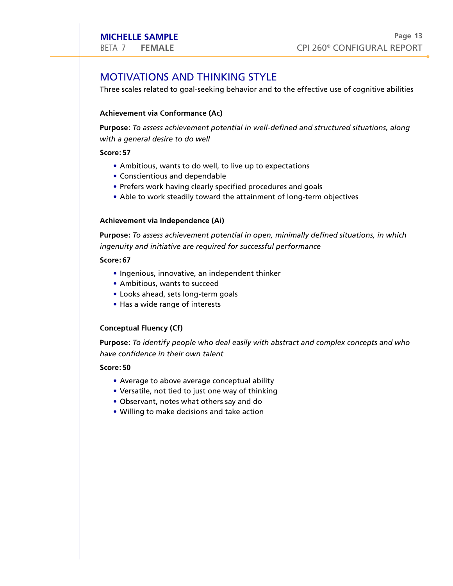# MICHELLE SAMPLE<br>
BETA 7 FEMALE<br>
MOTIVATIONS AND THINKING STYLE

THE SETA 7 FEMALE<br>Three scales related to goal-seeking behavior and to the effective use of cognitive abilities

#### **Achievement via Conformance (Ac)**

**Purpose:** *To assess achievement potential in well-defined and structured situations, along with a general desire to do well* **CHELLE SAMPLE**<br>
A 7 FEMALE<br> **DTIVATIONS AND THINK**<br>
ee scales related to goal-seeking<br>
ievement via Conformance (Ac)<br>
pose: *To assess achievement pote*<br>
n a general desire to do well<br>
re: 57<br>
• Ambitious, wants to do wel

#### **Score: 57**

- Ambitious, wants to do well, to live up to expectations
- 
- Prefers work having clearly specified procedures and goals
- Able to work steadily toward the attainment of long-term objectives

#### **Achievement via Independence (Ai)**

**Purpose:** *To assess achievement potential in open, minimally defined situations, in which ingenuity and initiative are required for successful performance* **CHELLE SAMPLE**<br>
A 7 FEMALE<br> **DTIVATIONS AND THIN**<br>
ee scales related to goal-seeking<br>
ievement via Conformance (Ac<br>
2005 : *To assess achievement po*<br>
1 a general desire to do well<br>
re: 57<br>
• Ambitious, wants to do well,<br> **CHELLE SAMPLE**<br>
A 7 FEMALE<br>
PTIVATIONS AND THINKING STY<br>
ee scales related to goal-seeking behavior a<br>
ievement via Conformance (Ac)<br>
nose: To assess achievement potential in we<br>
a general desire to do well, to live up to

#### **Score: 67**

- Ingenious, innovative, an independent thinker
- Ambitious, wants to succeed
- Looks ahead, sets long-term goals
- 

#### **Conceptual Fluency (Cf)**

**Purpose:** *To identify people who deal easily with abstract and complex concepts and who have confidence in their own talent*

- Average to above average conceptual ability
- Versatile, not tied to just one way of thinking
- 
- Willing to make decisions and take action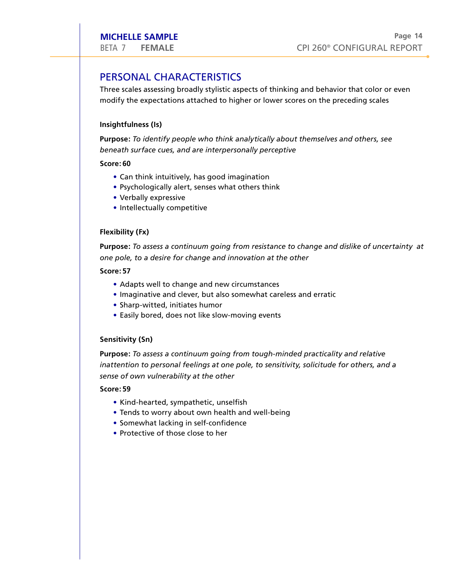# MICHELLE SAMPLE<br>
BETA 7 FEMALE<br>
PERSONAL CHARACTERISTICS

**MICHELLE SAMPLE**<br>
Three scales assessing broadly stylistic aspects of thinking and behavior that color or even<br>
Three scales assessing broadly stylistic aspects of thinking and behavior that color or even modify the expectations attached to higher or lower scores on the preceding scales **CHELLE SAMPLE**<br>
A 7 FEMALE<br>
RSONAL CHARACTERISTICS<br>
ee scales assessing broadly stylistic aspects of<br>
dify the expectations attached to higher or lo<br>
ghtfulness (Is)<br>
pose: To identify people who think analytical<br>
eath su

## **Insightfulness (Is)**

**Purpose:** *To identify people who think analytically about themselves and others, see beneath surface cues, and are interpersonally perceptive*

#### **Score: 60**

- 
- Psychologically alert, senses what others think
- Verbally expressive
- Intellectually competitive

#### **Flexibility (Fx)**

**Purpose:** *To assess a continuum going from resistance to change and dislike of uncertainty at one pole, to a desire for change and innovation at the other*

#### **Score: 57**

- Adapts well to change and new circumstances
- Imaginative and clever, but also somewhat careless and erratic
- Sharp-witted, initiates humor
- Easily bored, does not like slow-moving events

#### **Sensitivity (Sn)**

**Purpose:** *To assess a continuum going from tough-minded practicality and relative inattention to personal feelings at one pole, to sensitivity, solicitude for others, and a sense of own vulnerability at the other* **CHELLE SAMPLE**<br>
A 7 FEMALE<br>
RSONAL CHARACTERISTICS<br>
ee scales assessing broadly stylistic aspectrations attached to higher<br>
ghttulness (Is)<br>
nose: To *identify people who think ana<br>
eath surface cues, and are interpersons* **CHELLE SAMPLE**<br>
A 7 FEMALE<br>
A 7 FEMALE<br>
A 7 FEMALE<br>
escales assessing broadly stylistic aspects of thinki<br>
dify the expectations attached to higher or lower sc<br> **ghtfulness (Is)**<br> **obse:** To *identify people who think ana* 

- 
- 
- Somewhat lacking in self-confidence
- Protective of those close to her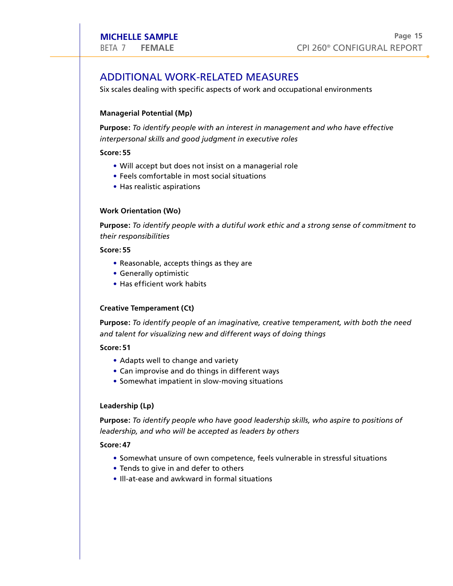# MICHELLE SAMPLE<br>
BETA 7 FEMALE<br>
ADDITIONAL WORK-RELATED MEASURES

Six scales dealing with specific aspects of work and occupational environments

#### **Managerial Potential (Mp)**

**Purpose:** *To identify people with an interest in management and who have effective interpersonal skills and good judgment in executive roles* **CHELLE SAMPLE**<br>
A 7 FEMALE<br>
DITIONAL WORK-RELATED MEA<br>
cales dealing with specific aspects of work a<br>
nagerial Potential (Mp)<br>
pose: *To identify people with an interest in r*<br> *rpersonal skills and good judgment in execu* **CHELLE SAMPLE**<br>
A 7 FEMALE<br>
DITIONAL WORK-<br>
scales dealing with specifical<br>
nagerial Potential (Mp)<br>
pose: *To identify people*<br> *rpersonal skills and good*<br>
re: 55<br>
• Will accept but does no<br>
• Feels comfortable in me<br>
• **CHELLE SAMPLE**<br>
A 7 FEMALE<br>
PDITIONAL WORK-RELATED N<br>
ccales dealing with specific aspects of work<br>
nagerial Potential (Mp)<br>
pose: To identify people with an interest<br>
rpersonal skills and good judgment in ex<br>
exests thin **CHELLE SAMPLE**<br>
A 7 FEMALE<br> **PDITIONAL WORK-R**<br>
ccales dealing with specific<br>
nagerial Potential (Mp)<br>
pose: *To identify people wi*<br>
re: 55<br>
• Will accept but does not<br>
• Feels comfortable in mos<br>
• Has realistic aspirat **CHELLE SAMPLE**<br>
A 7 FEMALE<br>
DITIONAL WORK-RELATED MEASU<br>
cales dealing with specific aspects of work and a<br> **nagerial Potential (Mp)**<br> **obse:** To *identify people with an interest in man*<br>
preprsonal skills and good judgm **CHELLE SAMPLE**<br>
A 7 FEMALE<br>
DITIONAL WORK-RELATED<br>
cales dealing with specific aspects of<br> **nagerial Potential (Mp)**<br> **onse:** To identify people with an inter<br>
repersonal skills and good judgment in<br>
respects to the small

#### **Score: 55**

- Will accept but does not insist on a managerial role
- 
- 

#### **Work Orientation (Wo)**

**Purpose:** *To identify people with a dutiful work ethic and a strong sense of commitment to their responsibilities*

#### **Score: 55**

- 
- Generally optimistic
- 

#### **Creative Temperament (Ct)**

**Purpose:** *To identify people of an imaginative, creative temperament, with both the need and talent for visualizing new and different ways of doing things*

#### **Score: 51**

- Adapts well to change and variety
- 
- Somewhat impatient in slow-moving situations

#### **Leadership (Lp)**

**Purpose:** *To identify people who have good leadership skills, who aspire to positions of leadership, and who will be accepted as leaders by others*

- Somewhat unsure of own competence, feels vulnerable in stressful situations
- 
- Ill-at-ease and awkward in formal situations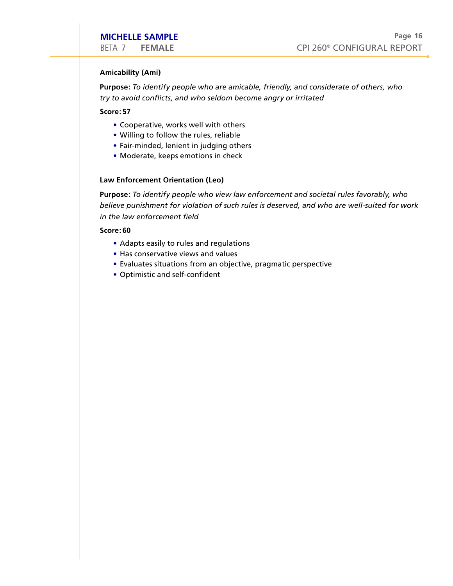#### **Amicability (Ami)**

**Purpose:** *To identify people who are amicable, friendly, and considerate of others, who try to avoid conflicts, and who seldom become angry or irritated* **CHELLE SAMPLE**<br>
4 7 FEMALE<br>
icability (Ami)<br>
pose: To identify people who are amic<br>
to avoid conflicts, and who seldom beore:<br>
57<br>
• Cooperative, works well with others **CHELLE SAMPLE**<br>
4 7 FEMALE<br>
icability (Ami)<br>
pose: *To identify people who are amicals*<br>
to avoid conflicts, and who seldom beco<br>
re: 57<br>
• Cooperative, works well with others<br>
• Willing to follow the rules, reliable<br>
• F

**Score: 57**

- 
- Willing to follow the rules, reliable
- 
- Moderate, keeps emotions in check

#### **Law Enforcement Orientation (Leo)**

**Purpose:** *To identify people who view law enforcement and societal rules favorably, who believe punishment for violation of such rules is deserved, and who are well-suited for work in the law enforcement field* **CHELLE SAMPLE**<br>
A 7 FEMALE<br>
icability (Ami)<br>
100se: To identify people who are anto avoid conflicts, and who seldom to<br>
114.157<br>
12.57<br>
• Cooperative, works well with othe<br>
• Willing to follow the rules, reliable<br>
• Fair-**CHELLE SAMPLE**<br>
A 7 FEMALE<br>
cability (Ami)<br>
oose: To identify people who and<br>
to avoid conflicts, and who sela<br>
re: 57<br>
• Cooperative, works well with<br>
• Willing to follow the rules, re<br>
Fair-minded, lenient in judgir<br>
•

- Adapts easily to rules and regulations
- 
- Evaluates situations from an objective, pragmatic perspective
-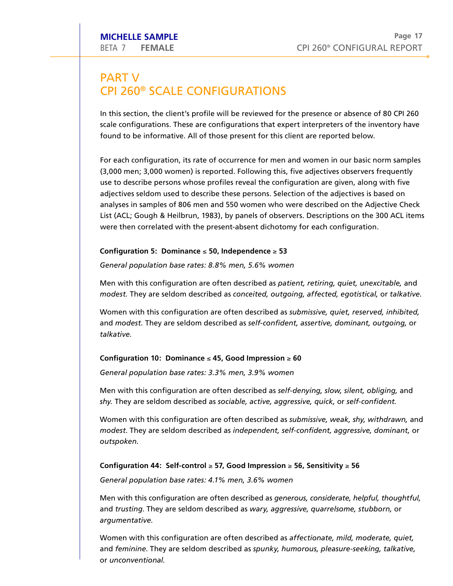## **PART V** MICHELLE SAMPLE<br>
BETA 7 FEMALE<br>
PART V<br>
CPI 260® SCALE CONFIGURATION  $\overline{a}$

In this section, the client's profile will be reviewed for the presence or absence of 80 CPI 260 scale configurations. These are configurations that expert interpreters of the inventory have These CONFIGURATIONS<br>These are configurations that expert interpreters of the inventory have<br>These are configurations that expert interpreters of the inventory have **CPI 260<sup>®</sup> SCALE CONFIGURATIONS**<br>In this section, the client's profile will be reviewed for the presence or absence of 80 CPI 260<br>scale configurations. These are configurations that expert interpreters of the inventory ha Following the presence or absence of 80 CPI 26<br>ations that expert interpreters of the inventory have<br>esent for this client are reported below.<br>rence for men and women in our basic norm sample<br>Following this, five adjective

(3,000 men; 3,000 women) is reported. use to describe persons whose profiles reveal the configuration are given, along with five adjectives seldom used to describe these persons. Selection of the adjectives is based on analyses in samples of 806 men and 550 women who were described on the Adjective mples<br>ntly<br>ive<br>n<br>Check List (ACL; Gough & Heilbrun, 1983), by panels of observers. Descriptions on the 300 ACL items ch configurat<br>men; 3,000 v<br>describe per:<br>ives seldom u<br>es in samples<br>CL; Gough & ion, its rate of occurrence for men and v<br>vomen) is reported. Following this, five a<br>sons whose profiles reveal the configurat<br>sed to describe these persons. Selection<br>of 806 men and 550 women who were a<br>Heilbrun, 1983), b vomen in our basic norm s<br>adjectives observers frequ<br>tion are given, along with<br>of the adjectives is based<br>described on the Adjective<br>Descriptions on the 300 A amples<br>ently<br>five<br>on<br>el Check<br>CL items were then correlated with the present-absent dichotomy for each configuration. CPI 260<sup>%</sup> CONFIGURAL REPORT<br>
V<br>
TO<sup>®</sup> SCALE CONFIGURATIONS<br>
Etion, the client's profile will be reviewed for the presence or absence of 80 CPI 260<br>
Etion, the client's profile will be reviewed for the presence or absence SCALE CONFIGURATIONS<br>
n, the client's profile will be reviewed for the presence or absence of 80 CPI 26<br>
rations. These are configurations that expert interpreters of the inventory have<br>
nformative. All of those present f THEMALE<br>
THEMALE CONFIGURATIONS<br>
ISON SCALE CONFIGURATIONS<br>
IS societo, the dient's profile will be reviewed for the presence or absence of 80<br>
is society, the dient's profile will be reviewed for the presence or absence o V<br>
The strain of the dient's profile will be reviewed for the presence or absence of 80 CPI 260<br>
profile prations. These are configurations that expert interpreters of the inventory have<br>
the informative. All of those pre CPI 260<sup>to</sup> CONFIGURAL REI<br>
SCALE CONFIGURATIONS<br>
SCALE CONFIGURATIONS<br>
the client's profile will be reviewed for the presence or absence of 80 CP<br>
rations. These are configurations that expert interpreters of the inventor SCALE CONFIGURATIONS<br>
the client's profile will be reviewed for the presence or absence of 80 CPI 260<br>
totions. These are configurations that expert interpreters of the inventory have<br>
formative. All of those present for t

## **Configuration 5: Dominance**  ≤ **50, Independence**  ≥ **53**

*General population base rates: 8.8% men, 5.6% women*

Men with this configuration are often described as *patient, retiring, quiet, unexcitable,* and modest. They are seldom described as conceited, outgoing, affected, egotistical, or talkative.

Women with this configuration are often described as *submissive, quiet, reserved, inhibited,*  and *modest*. They are seldom described as self-confident, assertive, dominant, outgoing, or *talkative.* 

## **Configuration 10: Dominance**  ≤ **45, Good Impression**  ≥ **60**

*General population base rates: 3.3% men, 3.9% women*

Men with this configuration are often described as *self-denying, slow, silent, obliging,* and shy. They are seldom described as sociable, active, aggressive, quick, or self-confident.

Women with this configuration are often described as *submissive, weak, shy, withdrawn,* and *modest.* They are seldom described as independent, self-confident, aggressive, dominant, or *outspoken* .

## **Configuration 44: Self-control**  ≥ **57, Good Impression**  ≥ **56, Sensitivity**  ≥ **56**

*General population base rates: 4.1% men, 3.6% women*

Men with this configuration are often described as *generous, considerate, helpful, thoughtful,*  and *trusting*. They are seldom described as wary, aggressive, quarrelsome, stubborn, or *argumentative*.

Women with this configuration are often described as *affectionate, mild, moderate, quiet,*  and *feminine*. They are seldom described as spunky, humorous, pleasure-seeking, talkative, or *unconventional.*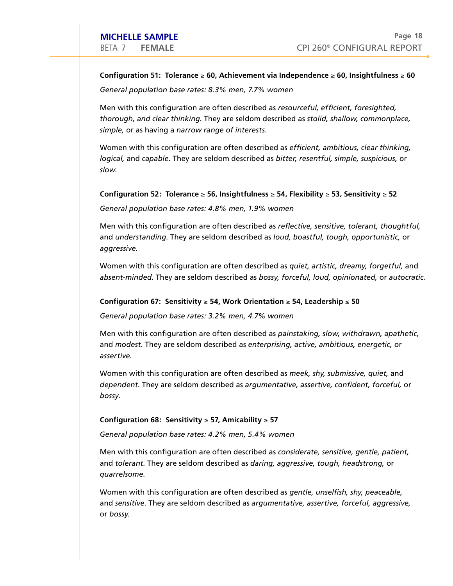## **Configuration 51: Tolerance**  ≥ **60, Achievement via Independence**  ≥ **60, Insightfulness**  ≥ **60** *General population base rates: 8.3% men, 7.7% women* They CPI 260® CONFIGURAL REPO<br> **They are seldom described as** *resourceful, efficient, foresighted,***<br>
They are seldom described as** *stolid, shallow, commonplace,*

Men with this configuration are often described as *resourceful, efficient, foresighted, thorough, and clear thinking*. *simple,* or as having a *narrow range of interests*. Mase rates: 8.3% men, 7.7% women<br>uration are often described as *resourceful, efficient, foresighted,*<br>thinking. They are seldom described as *stolid, shallow, commonplace*<br>a narrow range of interests.<br>figuration are often E<br>
Delerance  $\geq 60$ , Achievement via Independence  $\geq 60$ , Insightfulness  $\geq 6$ <br>
base rates: 8.3% men, 7.7% women<br>
uuration are often described as *resourceful*, efficient, foresighted,<br>
thinking. They are seldom des CPI 260<sup>®</sup> CONFIGURAL REF<br>
In 51: Tolerance ≥ 60, Achievement via Independence ≥ 60, Insightfulness ≥<br>
Unitor base rates: 8.3% men, 7.7% women<br>
sconfiguration are often described as *ersourceful, efficient, foresighted,*<br> ulation base rates: 8.3% men, 7.7% women<br>
is configuration are often described as *resourceful, efficient, foresighted,*<br>
and clear thinking. They are seldom described as *stolid, shallow, commonplace,*<br>
having a *narrow* CPI 260<sup>®</sup> CONFIGURAL R<br>
S1: Tolerance ≤ 60, Achievement via Independence ≤ 60, Insightfulnes<br> *Iation base rates:* 8.3% men, 7.7% women<br>
configuration are often described as *resourceful, efficient, foresighted,*<br> *Idden* ation base rates: 8.3% men, 7.7% women<br>
configuration are often described as *resourceful, efficient, foresighted,*<br>
close thinking, They are seldom described as *artodic, shallow, commonplace,*<br>
aiving a *narrow range of* 

Women with this configuration are often described as *efficient, ambitious, clear thinking, logical*, and *capable*. They are seldom described as bitter, resentful, simple, suspicious, or *slow.* 

### **Configuration 52: Tolerance**  ≥ **56, Insightfulness**  ≥ **54, Flexibility**  ≥ **53, Sensitivity**  ≥ **52**

*General population base rates: 4.8% men, 1.9% women*

Men with this configuration are often described as *reflective, sensitive, tolerant, thoughtful,*  and *understanding*. They are seldom described as *loud*, boastful, tough, opportunistic, or *aggressive*. They are seldom described as *resourceful, efficient, foresighted,*<br> *Mear thinking.* They are seldom described as *stolid, shallow, commonplace,*<br> *ing a narrow range of interests.*<br> *s* configuration are often described

Women with this configuration are often described as *quiet, artistic, dreamy, forgetful,* and absent-minded. They are seldom described as bossy, forceful, loud, opinionated, or autocratic.

#### Configuration 67: Sensitivity ≥ 54, Work Orientation ≥ 54, Leadership ≤ 50

*General population base rates: 3.2% men, 4.7% women*

Men with this configuration are often described as *painstaking, slow, withdrawn, apathetic,*  and *modest*. They are seldom described as enterprising, active, ambitious, energetic, or *assertive.*

Women with this configuration are often described as *meek, shy, submissive, quiet,* and dependent. They are seldom described as argumentative, assertive, confident, forceful, or *bossy*.

### **Configuration 68: Sensitivity**  ≥ **57, Amicability**  ≥ **57**

*General population base rates: 4.2% men, 5.4% women*

Men with this configuration are often described as *considerate, sensitive, gentle, patient,*  and *tolerant*. They are seldom described as *daring, aggressive, tough, headstrong, or quarrelsome*.

Women with this configuration are often described as *gentle, unselfish, shy, peaceable,*  and sensitive. They are seldom described as argumentative, assertive, forceful, aggressive, or *bossy.*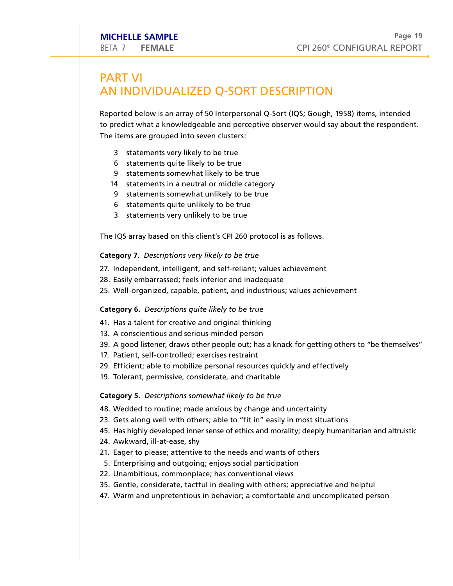# PART VI MICHELLE SAMPLE<br>
BETA 7 FEMALE

CPI 260<sup>®</sup><br>
PART VI<br>
AN INDIVIDUALIZED Q-SORT DESCRIPTION RETA 7 FEMALE<br>
RETA 7 FEMALE<br>
PART VI<br>
AN INDIVIDUALIZED Q-SORT DESCRIPTION<br>
Reported below is an array of 50 Interpersonal Q-Sort (IQS; Gough, 1958) items, intended

Reported below is an array of 50 Interpersonal Q-Sort (IQS; Gough, 1958) items, intended<br>to predict what a knowledgeable and perceptive observer would say about the respondent.<br>The items are grouped into seven clusters: **CATELLE SAMPLE**<br> **CART VI**<br> **CANT VI**<br> **CANT VI**<br> **CANT CONT DIVIDUALIZED Q-SORT DI**<br> **Reported below is an array of 50 Interpersonal Q-**<br>
to predict what a knowledgeable and perceptive<br>
The items are grouped into seven c **EFTA 7 FEMALE**<br> **EPRAT VI**<br> **EPRAT VI**<br> **EPRAT VIOUS ALIZED Q-SORT DESCRIPTION**<br> **Reported below is an array of 50 Interpersonal Q-Sort (IQS; Gough, 1951**<br> **O** redict what a knowledgeable and perceptive observer would say PART VI<br>
PART VI<br>
PART VI<br>
PART VI<br>
PART VI<br>
AN INDIVIDUALLIZED Q-SORT DESCRIPTION<br>
Reported below is an array of 50 interpersonal Q-Sort (IQS; Gough, 1958) items, intended<br>
to predict what a knowledgeable and perceptive o **PART VI**<br> **PART VI**<br> **EFRACT CONTST ANTS ANTS ANTS ANTS AND INDUVIDUALIZED Q-SORT DESCRIPTION**<br> **Reported below is an array of 50 interpresonal Q-Sort (IQS; Goto predict what a knowledgeable and perceptive observer wouse<br>** 

- 3 statements very likely to be true
- 6 statements quite likely to be true
- 9 statements somewhat likely to be true
- 14 statements in a neutral or middle category
- 9 statements somewhat unlikely to be true
- 6 statements quite unlikely to be true
- 3 statements very unlikely to be true

6 statements quite likely to be<br>9 statements somewhat likely<br>14 statements in a neutral or n<br>9 statements somewhat unlikely<br>6 statements quite unlikely to<br>3 statements very unlikely to<br>The IQS array based on this client's e true<br>' to be true<br>niddle category<br>ely to be true<br>be true<br>CPI 260 protocol is as follows.

#### **Category 7.** *Descriptions very likely to be true*

- 27. Independent, intelligent, and self-reliant; values achievement
- 28. Easily embarrassed; feels inferior and inadequate
- 25. Well-organized, capable, patient, and industrious; values achievement

- 
- 13. A conscientious and serious-minded person
- 39. A good listener, draws other people out; has a knack for getting others to "be themselves"
- 17. Patient, self-controlled; exercises restraint
- 
- 

#### **Category 5.** *Descriptions somewhat likely to be true*

- 48. Wedded to routine; made anxious by change and uncertainty
- 23. Gets along well with others; able to "fit in" easily in most situations
- 
- 24. Awkward, ill-at-ease, shy
- 
- 
- 
- 35. Gentle, considerate, tactful in dealing with others; appreciative and helpful
- 47. Warm and unpretentious in behavior; a comfortable and uncomplicated person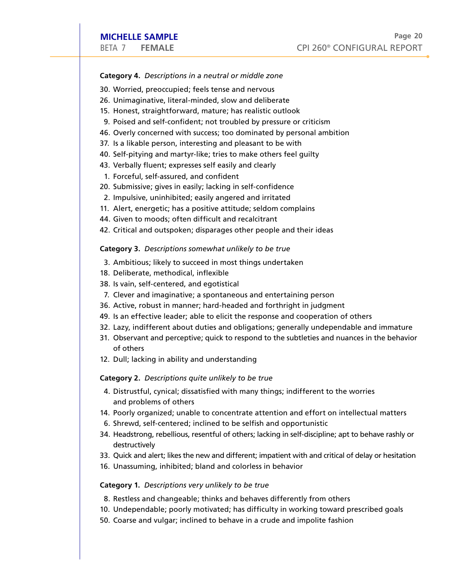### **Category 4.** *Descriptions in a neutral or middle zone*

- 30. Worried, preoccupied; feels tense and nervous
- 
- 
- 
- **MICHELLE SAMPLE**<br> **CPI 260<sup>®</sup> CON<br>
Category 4. Descriptions in a neutral or middle zone<br>
30. Worried, preoccupied; feels tense and nervous<br>
26. Unimaginative, literal-minded, slow and deliberate<br>
15. Honest, straightforwa EXECT ANNALL SAMPLE**<br> **EXECT ANNALL CATE COMPT CONTANT MARK CONT MARK CONTED SOLUTE ON MARK SEE SEE STARB AND MOT SOLUTE ON MARK SEE SEE STARB FOR SHEAR SEE SHEAR SEE SHEAR SEE SHEAR SEE SHEAR SEE SHEAR SEE SHEAR SEE SHEA** MICHELLE SAMPLE<br>
BETA 7 FEMALE CPI 260<sup>®</sup><br>
Celees and nervous<br>
26. Unimaginative, literal-minded, slow and deliberate<br>
15. Honest, straightforward, mature; has realistic outlook<br>
16. Derised and self-confident; not trouble **CHELLE SAMPLE**<br>
CPI 260<sup>®</sup><br>
Category 4. Descriptions in a neutral or middle zone<br>
20. Worried, preoccupied; feels tense and nervous<br>
20. Unimaginative, literal-minded, slow and deliberate<br>
15. Honest, straightforward, mat
- 37. Is a likable person, interesting and pleasant to be with
- 
- 
- 
- 20. Submissive; gives in easily; lacking in self-confidence 2. Impulsive, uninhibited; easily angered and irritated
- 
- 11. Alert, energetic; has a positive attitude; seldom complains
- 
- 

#### **Category 3.** *Descriptions somewhat unlikely to be true*

- 3. Ambitious; likely to succeed in most things undertaken
- 
- 
- 
- 36. Active, robust in manner; hard-headed and forthright in judgment
- 49. Is an effective leader; able to elicit the response and cooperation of others
- 32. Lazy, indifferent about duties and obligations; generally undependable and immature **MICHELLE SAMPLE**<br>
<sup>Page</sup> 2ER / FEMALE<br> **CPI 260**<sup>\*</sup> CONFIGURAL REPOR<br> **CREAD /**<br> **SO** Worrind, preocupied; feels tense and nervous associates<br>
26. Unimaginative, literal-minded, slow and deliberate<br>
25. Unimaginative, lit
- of others **MICHELLE SAMPLE**<br>
BETA 7 FEMALE<br>
BETA 7 FEMALE<br>
Category 4. Descriptions in a neutral or midd<br>
30. Worried, preoccupied; feels tense and nel<br>
26. Unimaginative, literal-minded, slow and d<br>
5. Honest, straightforward, matu **Category 4.** *Descriptions in a neutral or middle zone*<br>
DETA 7 FEMALE CPI 260<sup>o</sup> CONFIGUR<br> **CALC CATE CATE (SECT AND A DEFA AND A DEFA AND A DEFA AND A DEFA AND A DEFA AND A DEFA AND A DEFA AND A DEFA AND A DEFA AND A SU IMCHELLE SAMPLE**<br> **CPI 260\* CONFIGURAL REPORT**<br> **CPI 260\* CONFIGURAL REPORT**<br> **CREQODY 4.** Descriptions in a neutral or middle zone<br> **30.** Worried, preoccupied; feels tense and nervous<br> **30.** Worming Instead and from fide **EVERT SAMPLE**<br>
<sup>Page</sup><br>
261890ry **44.** Descriptions in a neutral or middle zone<br>
26. Worrind, measure cocupies of tests reade and alerous correlation<br>
26. Unimaginative, litteral middled, slow and deliberate<br>
15. Honest, s PMICHELLE SAMPLE<br>
CPI 260<sup>o</sup> CONFIGURAL REM<br>
CPI 260<sup>o</sup> CONFIGURAL REM<br>
CPI 260<sup>o</sup> CONFIGURAL REM<br>
Category 4. Descriptions in a neutral or middle zone<br>
26. Unimaginative, literal-minded, slow and delibrate<br>
26. Unimaginat
- 

- and problems of others
- 
- 
- destructively
- 
- 

- 
- 
-